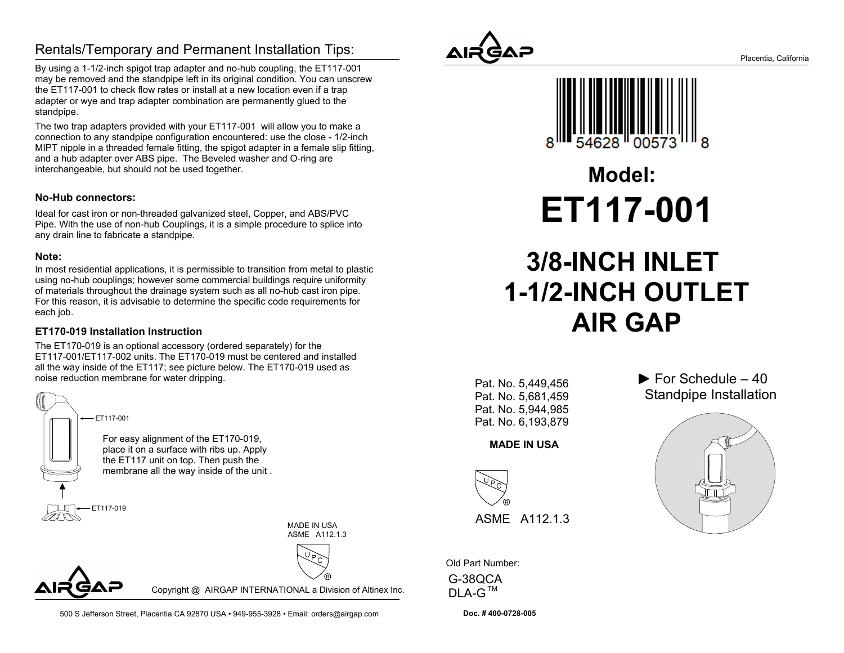## Rentals/Temporary and Permanent Installation Tips:

By using a 1-1/2-inch spigot trap adapter and no-hub coupling, the ET117-001 may be removed and the standpipe left in its original condition. You can unscrewthe ET117-001 to check flow rates or install at a new location even if a trap adapter or wye and trap adapter combination are permanently glued to thestandpipe.

The two trap adapters provided with your ET117-001 will allow you to make a connection to any standpipe configuration encountered: use the close - 1/2-inch MIPT nipple in a threaded female fitting, the spigot adapter in a female slip fitting,and a hub adapter over ABS pipe. The Beveled washer and O-ring areinterchangeable, but should not be used together.

### **No-Hub connectors:**

Ideal for cast iron or non-threaded galvanized steel, Copper, and ABS/PVC Pipe. With the use of non-hub Couplings, it is a simple procedure to splice intoany drain line to fabricate a standpipe.

### **Note:**

 In most residential applications, it is permissible to transition from metal to plastic using no-hub couplings; however some commercial buildings require uniformity of materials throughout the drainage system such as all no-hub cast iron pipe. For this reason, it is advisable to determine the specific code requirements foreach job.

### **ET170-019 Installation Instruction**

The ET170-019 is an optional accessory (ordered separately) for the ET117-001/ET117-002 units. The ET170-019 must be centered and installed all the way inside of the ET117; see picture below. The ET170-019 used asnoise reduction membrane for water dripping.



For easy alignment of the ET170-019, place it on a surface with ribs up. Applythe ET117 unit on top. Then push themembrane all the way inside of the unit .

> MADE IN USAASME A112.1.3



Copyright @ AIRGAP INTERNATIONAL a Division of Altinex Inc.





**ET117-001Model:**

# **3/8-INCH INLET 1-1/2-INCH OUTLETAIR GAP**

Pat. No. 5,449,456 Pat. No. 5,681,459 Pat. No. 5,944,985Pat. No. 6,193,879

### **MADE IN USA**



Old Part Number:

G-38QCADLA-G

**Doc. # 400-0728-005**

 $\blacktriangleright$  For Schedule – 40 Standpipe Installation